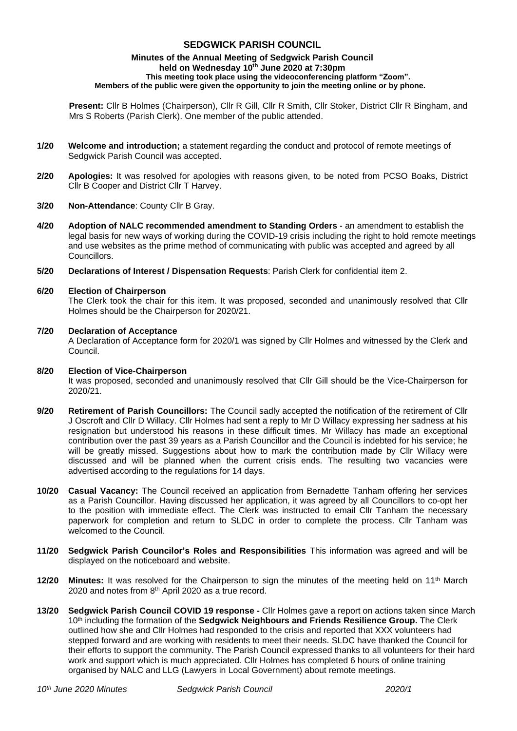# **SEDGWICK PARISH COUNCIL**

#### **Minutes of the Annual Meeting of Sedgwick Parish Council held on Wednesday 10 th June 2020 at 7:30pm This meeting took place using the videoconferencing platform "Zoom". Members of the public were given the opportunity to join the meeting online or by phone.**

**Present:** Cllr B Holmes (Chairperson), Cllr R Gill, Cllr R Smith, Cllr Stoker, District Cllr R Bingham, and Mrs S Roberts (Parish Clerk). One member of the public attended.

- **1/20 Welcome and introduction;** a statement regarding the conduct and protocol of remote meetings of Sedgwick Parish Council was accepted.
- **2/20 Apologies:** It was resolved for apologies with reasons given, to be noted from PCSO Boaks, District Cllr B Cooper and District Cllr T Harvey.
- **3/20 Non-Attendance**: County Cllr B Gray.
- **4/20 Adoption of NALC recommended amendment to Standing Orders**  an amendment to establish the legal basis for new ways of working during the COVID-19 crisis including the right to hold remote meetings and use websites as the prime method of communicating with public was accepted and agreed by all Councillors.
- **5/20 Declarations of Interest / Dispensation Requests**: Parish Clerk for confidential item 2.

### **6/20 Election of Chairperson**

The Clerk took the chair for this item. It was proposed, seconded and unanimously resolved that Cllr Holmes should be the Chairperson for 2020/21.

### **7/20 Declaration of Acceptance**

A Declaration of Acceptance form for 2020/1 was signed by Cllr Holmes and witnessed by the Clerk and Council.

#### **8/20 Election of Vice-Chairperson**

It was proposed, seconded and unanimously resolved that Cllr Gill should be the Vice-Chairperson for 2020/21.

- **9/20 Retirement of Parish Councillors:** The Council sadly accepted the notification of the retirement of Cllr J Oscroft and Cllr D Willacy. Cllr Holmes had sent a reply to Mr D Willacy expressing her sadness at his resignation but understood his reasons in these difficult times. Mr Willacy has made an exceptional contribution over the past 39 years as a Parish Councillor and the Council is indebted for his service; he will be greatly missed. Suggestions about how to mark the contribution made by Cllr Willacy were discussed and will be planned when the current crisis ends. The resulting two vacancies were advertised according to the regulations for 14 days.
- **10/20 Casual Vacancy:** The Council received an application from Bernadette Tanham offering her services as a Parish Councillor. Having discussed her application, it was agreed by all Councillors to co-opt her to the position with immediate effect. The Clerk was instructed to email Cllr Tanham the necessary paperwork for completion and return to SLDC in order to complete the process. Cllr Tanham was welcomed to the Council.
- **11/20 Sedgwick Parish Councilor's Roles and Responsibilities** This information was agreed and will be displayed on the noticeboard and website.
- **12/20 Minutes:** It was resolved for the Chairperson to sign the minutes of the meeting held on 11<sup>th</sup> March 2020 and notes from 8<sup>th</sup> April 2020 as a true record.
- **13/20 Sedgwick Parish Council COVID 19 response -** Cllr Holmes gave a report on actions taken since March 10<sup>th</sup> including the formation of the **Sedgwick Neighbours and Friends Resilience Group.** The Clerk outlined how she and Cllr Holmes had responded to the crisis and reported that XXX volunteers had stepped forward and are working with residents to meet their needs. SLDC have thanked the Council for their efforts to support the community. The Parish Council expressed thanks to all volunteers for their hard work and support which is much appreciated. Cllr Holmes has completed 6 hours of online training organised by NALC and LLG (Lawyers in Local Government) about remote meetings.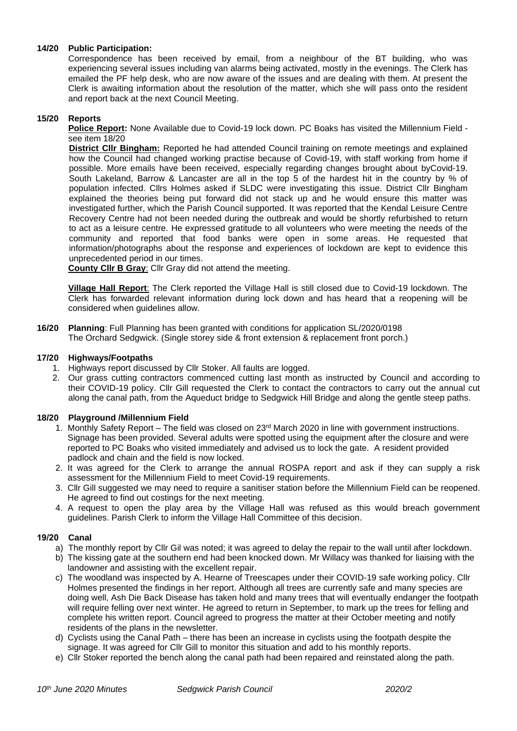# **14/20 Public Participation:**

Correspondence has been received by email, from a neighbour of the BT building, who was experiencing several issues including van alarms being activated, mostly in the evenings. The Clerk has emailed the PF help desk, who are now aware of the issues and are dealing with them. At present the Clerk is awaiting information about the resolution of the matter, which she will pass onto the resident and report back at the next Council Meeting.

# **15/20 Reports**

**Police Report:** None Available due to Covid-19 lock down. PC Boaks has visited the Millennium Field see item 18/20

**District Cllr Bingham:** Reported he had attended Council training on remote meetings and explained how the Council had changed working practise because of Covid-19, with staff working from home if possible. More emails have been received, especially regarding changes brought about byCovid-19. South Lakeland, Barrow & Lancaster are all in the top 5 of the hardest hit in the country by % of population infected. Cllrs Holmes asked if SLDC were investigating this issue. District Cllr Bingham explained the theories being put forward did not stack up and he would ensure this matter was investigated further, which the Parish Council supported. It was reported that the Kendal Leisure Centre Recovery Centre had not been needed during the outbreak and would be shortly refurbished to return to act as a leisure centre. He expressed gratitude to all volunteers who were meeting the needs of the community and reported that food banks were open in some areas. He requested that information/photographs about the response and experiences of lockdown are kept to evidence this unprecedented period in our times.

**County Cllr B Gray**: Cllr Gray did not attend the meeting.

**Village Hall Report**: The Clerk reported the Village Hall is still closed due to Covid-19 lockdown. The Clerk has forwarded relevant information during lock down and has heard that a reopening will be considered when guidelines allow.

**16/20 Planning**: Full Planning has been granted with conditions for application SL/2020/0198 The Orchard Sedgwick. (Single storey side & front extension & replacement front porch.)

### **17/20 Highways/Footpaths**

- 1. Highways report discussed by Cllr Stoker. All faults are logged.
- 2. Our grass cutting contractors commenced cutting last month as instructed by Council and according to their COVID-19 policy. Cllr Gill requested the Clerk to contact the contractors to carry out the annual cut along the canal path, from the Aqueduct bridge to Sedgwick Hill Bridge and along the gentle steep paths.

# **18/20 Playground /Millennium Field**

- 1. Monthly Safety Report The field was closed on  $23<sup>rd</sup>$  March 2020 in line with government instructions. Signage has been provided. Several adults were spotted using the equipment after the closure and were reported to PC Boaks who visited immediately and advised us to lock the gate. A resident provided padlock and chain and the field is now locked.
- 2. It was agreed for the Clerk to arrange the annual ROSPA report and ask if they can supply a risk assessment for the Millennium Field to meet Covid-19 requirements.
- 3. Cllr Gill suggested we may need to require a sanitiser station before the Millennium Field can be reopened. He agreed to find out costings for the next meeting.
- 4. A request to open the play area by the Village Hall was refused as this would breach government guidelines. Parish Clerk to inform the Village Hall Committee of this decision.

# **19/20 Canal**

- a) The monthly report by Cllr Gil was noted; it was agreed to delay the repair to the wall until after lockdown.
- b) The kissing gate at the southern end had been knocked down. Mr Willacy was thanked for liaising with the landowner and assisting with the excellent repair.
- c) The woodland was inspected by A. Hearne of Treescapes under their COVID-19 safe working policy. Cllr Holmes presented the findings in her report. Although all trees are currently safe and many species are doing well, Ash Die Back Disease has taken hold and many trees that will eventually endanger the footpath will require felling over next winter. He agreed to return in September, to mark up the trees for felling and complete his written report. Council agreed to progress the matter at their October meeting and notify residents of the plans in the newsletter.
- d) Cyclists using the Canal Path there has been an increase in cyclists using the footpath despite the signage. It was agreed for Cllr Gill to monitor this situation and add to his monthly reports.
- e) Cllr Stoker reported the bench along the canal path had been repaired and reinstated along the path.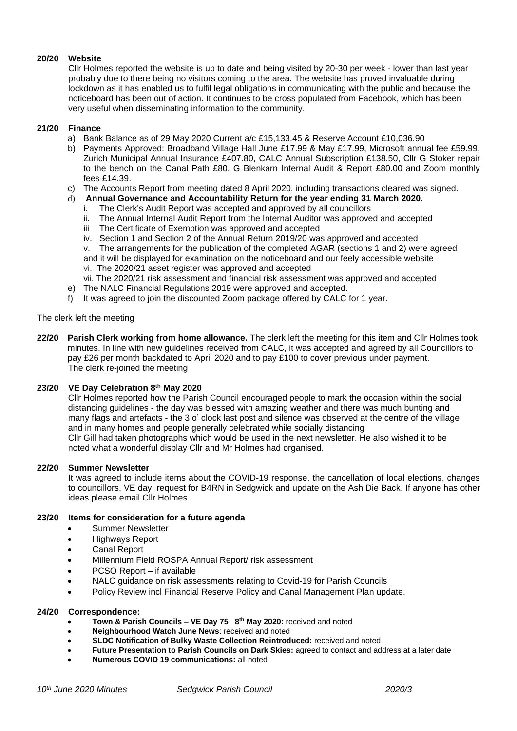# **20/20 Website**

Cllr Holmes reported the website is up to date and being visited by 20-30 per week - lower than last year probably due to there being no visitors coming to the area. The website has proved invaluable during lockdown as it has enabled us to fulfil legal obligations in communicating with the public and because the noticeboard has been out of action. It continues to be cross populated from Facebook, which has been very useful when disseminating information to the community.

#### **21/20 Finance**

- a) Bank Balance as of 29 May 2020 Current a/c £15,133.45 & Reserve Account £10,036.90
- b) Payments Approved: Broadband Village Hall June £17.99 & May £17.99, Microsoft annual fee £59.99, Zurich Municipal Annual Insurance £407.80, CALC Annual Subscription £138.50, Cllr G Stoker repair to the bench on the Canal Path £80. G Blenkarn Internal Audit & Report £80.00 and Zoom monthly fees £14.39.
- c) The Accounts Report from meeting dated 8 April 2020, including transactions cleared was signed.
- d) **Annual Governance and Accountability Return for the year ending 31 March 2020.**
	- i. The Clerk's Audit Report was accepted and approved by all councillors
	- ii. The Annual Internal Audit Report from the Internal Auditor was approved and accepted<br>iii. The Certificate of Exemption was approved and accepted
	- The Certificate of Exemption was approved and accepted
	- iv. Section 1 and Section 2 of the Annual Return 2019/20 was approved and accepted v. The arrangements for the publication of the completed AGAR (sections 1 and 2) we

The arrangements for the publication of the completed AGAR (sections 1 and 2) were agreed

and it will be displayed for examination on the noticeboard and our feely accessible website vi. The 2020/21 asset register was approved and accepted

vii. The 2020/21 risk assessment and financial risk assessment was approved and accepted

- e) The NALC Financial Regulations 2019 were approved and accepted.
- f) It was agreed to join the discounted Zoom package offered by CALC for 1 year.

### The clerk left the meeting

**22/20 Parish Clerk working from home allowance.** The clerk left the meeting for this item and Cllr Holmes took minutes. In line with new guidelines received from CALC, it was accepted and agreed by all Councillors to pay £26 per month backdated to April 2020 and to pay £100 to cover previous under payment. The clerk re-joined the meeting

# **23/20 VE Day Celebration 8th May 2020**

Cllr Holmes reported how the Parish Council encouraged people to mark the occasion within the social distancing guidelines - the day was blessed with amazing weather and there was much bunting and many flags and artefacts - the 3 o' clock last post and silence was observed at the centre of the village and in many homes and people generally celebrated while socially distancing Cllr Gill had taken photographs which would be used in the next newsletter. He also wished it to be noted what a wonderful display Cllr and Mr Holmes had organised.

#### **22/20 Summer Newsletter**

It was agreed to include items about the COVID-19 response, the cancellation of local elections, changes to councillors, VE day, request for B4RN in Sedgwick and update on the Ash Die Back. If anyone has other ideas please email Cllr Holmes.

# **23/20 Items for consideration for a future agenda**

- Summer Newsletter
- Highways Report
- Canal Report
- Millennium Field ROSPA Annual Report/ risk assessment
- PCSO Report if available
- NALC guidance on risk assessments relating to Covid-19 for Parish Councils
- Policy Review incl Financial Reserve Policy and Canal Management Plan update.

#### **24/20 Correspondence:**

- **Town & Parish Councils – VE Day 75\_ 8th May 2020:** received and noted
- **Neighbourhood Watch June News**: received and noted
- **SLDC Notification of Bulky Waste Collection Reintroduced:** received and noted
- **Future Presentation to Parish Councils on Dark Skies:** agreed to contact and address at a later date
- **Numerous COVID 19 communications:** all noted